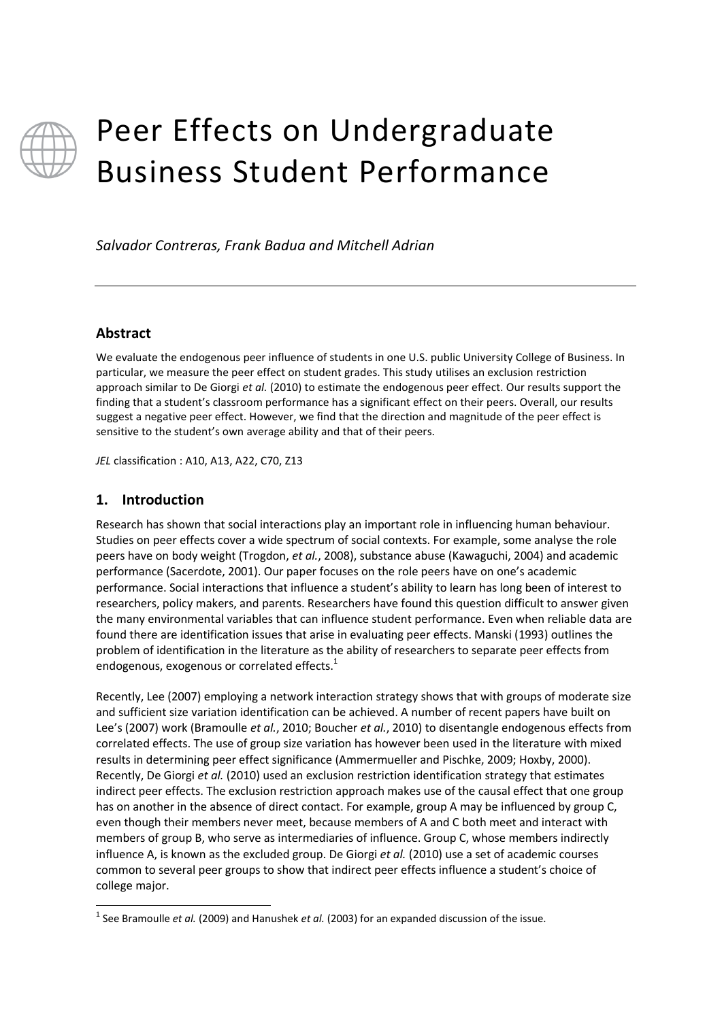

# Peer Effects on Undergraduate Business Student Performance

*Salvador Contreras, Frank Badua and Mitchell Adrian*

# **Abstract**

We evaluate the endogenous peer influence of students in one U.S. public University College of Business. In particular, we measure the peer effect on student grades. This study utilises an exclusion restriction approach similar to De Giorgi *et al.* (2010) to estimate the endogenous peer effect. Our results support the finding that a student's classroom performance has a significant effect on their peers. Overall, our results suggest a negative peer effect. However, we find that the direction and magnitude of the peer effect is sensitive to the student's own average ability and that of their peers.

*JEL* classification : A10, A13, A22, C70, Z13

# **1. Introduction**

 $\overline{a}$ 

Research has shown that social interactions play an important role in influencing human behaviour. Studies on peer effects cover a wide spectrum of social contexts. For example, some analyse the role peers have on body weight (Trogdon, *et al.*, 2008), substance abuse (Kawaguchi, 2004) and academic performance (Sacerdote, 2001). Our paper focuses on the role peers have on one's academic performance. Social interactions that influence a student's ability to learn has long been of interest to researchers, policy makers, and parents. Researchers have found this question difficult to answer given the many environmental variables that can influence student performance. Even when reliable data are found there are identification issues that arise in evaluating peer effects. Manski (1993) outlines the problem of identification in the literature as the ability of researchers to separate peer effects from endogenous, exogenous or correlated effects. $1$ 

Recently, Lee (2007) employing a network interaction strategy shows that with groups of moderate size and sufficient size variation identification can be achieved. A number of recent papers have built on Lee's (2007) work (Bramoulle *et al.*, 2010; Boucher *et al.*, 2010) to disentangle endogenous effects from correlated effects. The use of group size variation has however been used in the literature with mixed results in determining peer effect significance (Ammermueller and Pischke, 2009; Hoxby, 2000). Recently, De Giorgi *et al.* (2010) used an exclusion restriction identification strategy that estimates indirect peer effects. The exclusion restriction approach makes use of the causal effect that one group has on another in the absence of direct contact. For example, group A may be influenced by group C, even though their members never meet, because members of A and C both meet and interact with members of group B, who serve as intermediaries of influence. Group C, whose members indirectly influence A, is known as the excluded group. De Giorgi *et al.* (2010) use a set of academic courses common to several peer groups to show that indirect peer effects influence a student's choice of college major.

<sup>&</sup>lt;sup>1</sup> See Bramoulle *et al.* (2009) and Hanushek *et al.* (2003) for an expanded discussion of the issue.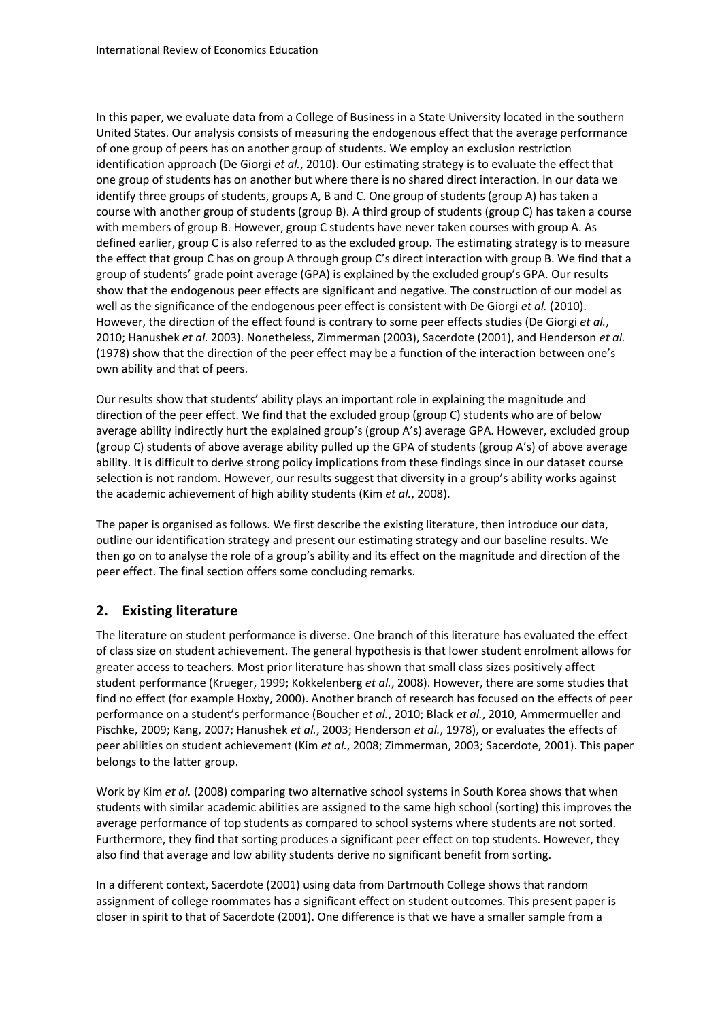In this paper, we evaluate data from a College of Business in a State University located in the southern United States. Our analysis consists of measuring the endogenous effect that the average performance of one group of peers has on another group of students. We employ an exclusion restriction identification approach (De Giorgi *et al.*, 2010). Our estimating strategy is to evaluate the effect that one group of students has on another but where there is no shared direct interaction. In our data we identify three groups of students, groups A, B and C. One group of students (group A) has taken a course with another group of students (group B). A third group of students (group C) has taken a course with members of group B. However, group C students have never taken courses with group A. As defined earlier, group C is also referred to as the excluded group. The estimating strategy is to measure the effect that group C has on group A through group C's direct interaction with group B. We find that a group of students' grade point average (GPA) is explained by the excluded group's GPA. Our results show that the endogenous peer effects are significant and negative. The construction of our model as well as the significance of the endogenous peer effect is consistent with De Giorgi *et al.* (2010). However, the direction of the effect found is contrary to some peer effects studies (De Giorgi *et al.*, 2010; Hanushek *et al.* 2003). Nonetheless, Zimmerman (2003), Sacerdote (2001), and Henderson *et al.* (1978) show that the direction of the peer effect may be a function of the interaction between one's own ability and that of peers.

Our results show that students' ability plays an important role in explaining the magnitude and direction of the peer effect. We find that the excluded group (group C) students who are of below average ability indirectly hurt the explained group's (group A's) average GPA. However, excluded group (group C) students of above average ability pulled up the GPA of students (group A's) of above average ability. It is difficult to derive strong policy implications from these findings since in our dataset course selection is not random. However, our results suggest that diversity in a group's ability works against the academic achievement of high ability students (Kim *et al.*, 2008).

The paper is organised as follows. We first describe the existing literature, then introduce our data, outline our identification strategy and present our estimating strategy and our baseline results. We then go on to analyse the role of a group's ability and its effect on the magnitude and direction of the peer effect. The final section offers some concluding remarks.

# **2. Existing literature**

The literature on student performance is diverse. One branch of this literature has evaluated the effect of class size on student achievement. The general hypothesis is that lower student enrolment allows for greater access to teachers. Most prior literature has shown that small class sizes positively affect student performance (Krueger, 1999; Kokkelenberg *et al.*, 2008). However, there are some studies that find no effect (for example Hoxby, 2000). Another branch of research has focused on the effects of peer performance on a student's performance (Boucher *et al.*, 2010; Black *et al.*, 2010, Ammermueller and Pischke, 2009; Kang, 2007; Hanushek *et al.*, 2003; Henderson *et al.*, 1978), or evaluates the effects of peer abilities on student achievement (Kim *et al.*, 2008; Zimmerman, 2003; Sacerdote, 2001). This paper belongs to the latter group.

Work by Kim *et al.* (2008) comparing two alternative school systems in South Korea shows that when students with similar academic abilities are assigned to the same high school (sorting) this improves the average performance of top students as compared to school systems where students are not sorted. Furthermore, they find that sorting produces a significant peer effect on top students. However, they also find that average and low ability students derive no significant benefit from sorting.

In a different context, Sacerdote (2001) using data from Dartmouth College shows that random assignment of college roommates has a significant effect on student outcomes. This present paper is closer in spirit to that of Sacerdote (2001). One difference is that we have a smaller sample from a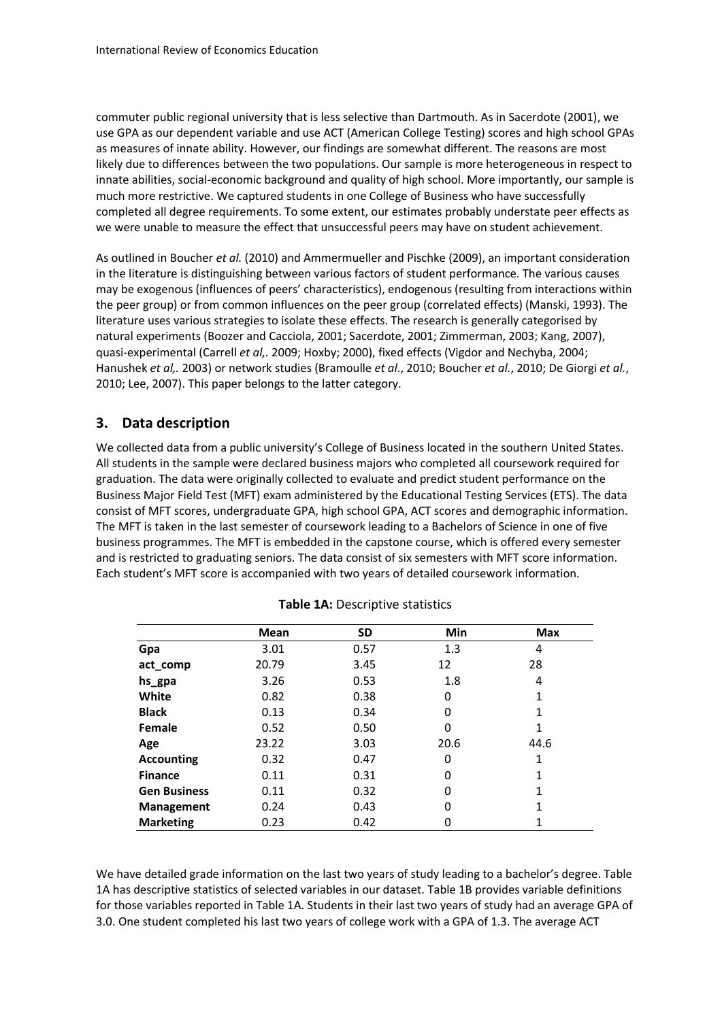commuter public regional university that is less selective than Dartmouth. As in Sacerdote (2001), we use GPA as our dependent variable and use ACT (American College Testing) scores and high school GPAs as measures of innate ability. However, our findings are somewhat different. The reasons are most likely due to differences between the two populations. Our sample is more heterogeneous in respect to innate abilities, social-economic background and quality of high school. More importantly, our sample is much more restrictive. We captured students in one College of Business who have successfully completed all degree requirements. To some extent, our estimates probably understate peer effects as we were unable to measure the effect that unsuccessful peers may have on student achievement.

As outlined in Boucher *et al.* (2010) and Ammermueller and Pischke (2009), an important consideration in the literature is distinguishing between various factors of student performance. The various causes may be exogenous (influences of peers' characteristics), endogenous (resulting from interactions within the peer group) or from common influences on the peer group (correlated effects) (Manski, 1993). The literature uses various strategies to isolate these effects. The research is generally categorised by natural experiments (Boozer and Cacciola, 2001; Sacerdote, 2001; Zimmerman, 2003; Kang, 2007), quasi-experimental (Carrell *et al,.* 2009; Hoxby; 2000), fixed effects (Vigdor and Nechyba, 2004; Hanushek *et al,.* 2003) or network studies (Bramoulle *et al*., 2010; Boucher *et al.*, 2010; De Giorgi *et al.*, 2010; Lee, 2007). This paper belongs to the latter category.

# **3. Data description**

We collected data from a public university's College of Business located in the southern United States. All students in the sample were declared business majors who completed all coursework required for graduation. The data were originally collected to evaluate and predict student performance on the Business Major Field Test (MFT) exam administered by the Educational Testing Services (ETS). The data consist of MFT scores, undergraduate GPA, high school GPA, ACT scores and demographic information. The MFT is taken in the last semester of coursework leading to a Bachelors of Science in one of five business programmes. The MFT is embedded in the capstone course, which is offered every semester and is restricted to graduating seniors. The data consist of six semesters with MFT score information. Each student's MFT score is accompanied with two years of detailed coursework information.

|                     | <b>Mean</b> | <b>SD</b> | Min  | <b>Max</b> |
|---------------------|-------------|-----------|------|------------|
| Gpa                 | 3.01        | 0.57      | 1.3  | 4          |
| act_comp            | 20.79       | 3.45      | 12   | 28         |
| hs_gpa              | 3.26        | 0.53      | 1.8  | 4          |
| White               | 0.82        | 0.38      | 0    | 1          |
| <b>Black</b>        | 0.13        | 0.34      | 0    | 1          |
| Female              | 0.52        | 0.50      | 0    | 1          |
| Age                 | 23.22       | 3.03      | 20.6 | 44.6       |
| <b>Accounting</b>   | 0.32        | 0.47      | 0    | 1          |
| <b>Finance</b>      | 0.11        | 0.31      | 0    | 1          |
| <b>Gen Business</b> | 0.11        | 0.32      | 0    | 1          |
| <b>Management</b>   | 0.24        | 0.43      | 0    | 1          |
| <b>Marketing</b>    | 0.23        | 0.42      | 0    | 1          |

#### **Table 1A: Descriptive statistics**

We have detailed grade information on the last two years of study leading to a bachelor's degree. Table 1A has descriptive statistics of selected variables in our dataset. Table 1B provides variable definitions for those variables reported in Table 1A. Students in their last two years of study had an average GPA of 3.0. One student completed his last two years of college work with a GPA of 1.3. The average ACT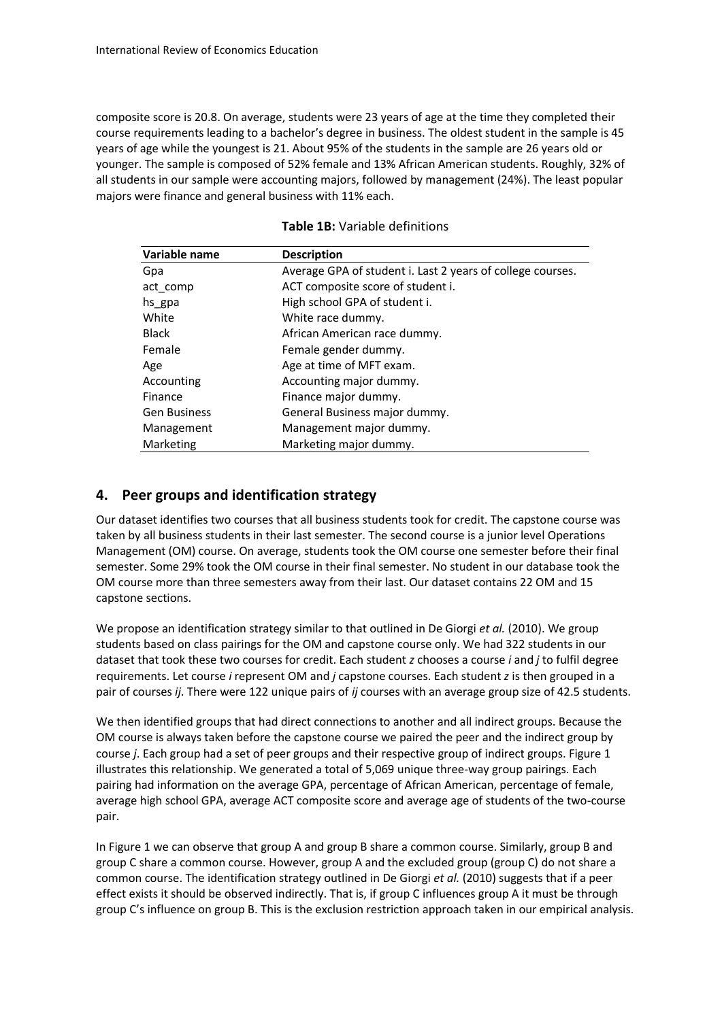composite score is 20.8. On average, students were 23 years of age at the time they completed their course requirements leading to a bachelor's degree in business. The oldest student in the sample is 45 years of age while the youngest is 21. About 95% of the students in the sample are 26 years old or younger. The sample is composed of 52% female and 13% African American students. Roughly, 32% of all students in our sample were accounting majors, followed by management (24%). The least popular majors were finance and general business with 11% each.

| Variable name       | <b>Description</b><br>Average GPA of student i. Last 2 years of college courses. |  |  |
|---------------------|----------------------------------------------------------------------------------|--|--|
| Gpa                 |                                                                                  |  |  |
| act_comp            | ACT composite score of student i.                                                |  |  |
| hs_gpa              | High school GPA of student i.                                                    |  |  |
| White               | White race dummy.                                                                |  |  |
| <b>Black</b>        | African American race dummy.                                                     |  |  |
| Female              | Female gender dummy.                                                             |  |  |
| Age                 | Age at time of MFT exam.                                                         |  |  |
| Accounting          | Accounting major dummy.                                                          |  |  |
| Finance             | Finance major dummy.                                                             |  |  |
| <b>Gen Business</b> | General Business major dummy.                                                    |  |  |
| Management          | Management major dummy.                                                          |  |  |
| Marketing           | Marketing major dummy.                                                           |  |  |

#### **Table 1B:** Variable definitions

# **4. Peer groups and identification strategy**

Our dataset identifies two courses that all business students took for credit. The capstone course was taken by all business students in their last semester. The second course is a junior level Operations Management (OM) course. On average, students took the OM course one semester before their final semester. Some 29% took the OM course in their final semester. No student in our database took the OM course more than three semesters away from their last. Our dataset contains 22 OM and 15 capstone sections.

We propose an identification strategy similar to that outlined in De Giorgi *et al.* (2010). We group students based on class pairings for the OM and capstone course only. We had 322 students in our dataset that took these two courses for credit. Each student *z* chooses a course *i* and *j* to fulfil degree requirements. Let course *i* represent OM and *j* capstone courses. Each student *z* is then grouped in a pair of courses *ij*. There were 122 unique pairs of *ij* courses with an average group size of 42.5 students.

We then identified groups that had direct connections to another and all indirect groups. Because the OM course is always taken before the capstone course we paired the peer and the indirect group by course *j*. Each group had a set of peer groups and their respective group of indirect groups. Figure 1 illustrates this relationship. We generated a total of 5,069 unique three-way group pairings. Each pairing had information on the average GPA, percentage of African American, percentage of female, average high school GPA, average ACT composite score and average age of students of the two-course pair.

In Figure 1 we can observe that group A and group B share a common course. Similarly, group B and group C share a common course. However, group A and the excluded group (group C) do not share a common course. The identification strategy outlined in De Giorgi *et al.* (2010) suggests that if a peer effect exists it should be observed indirectly. That is, if group C influences group A it must be through group C's influence on group B. This is the exclusion restriction approach taken in our empirical analysis.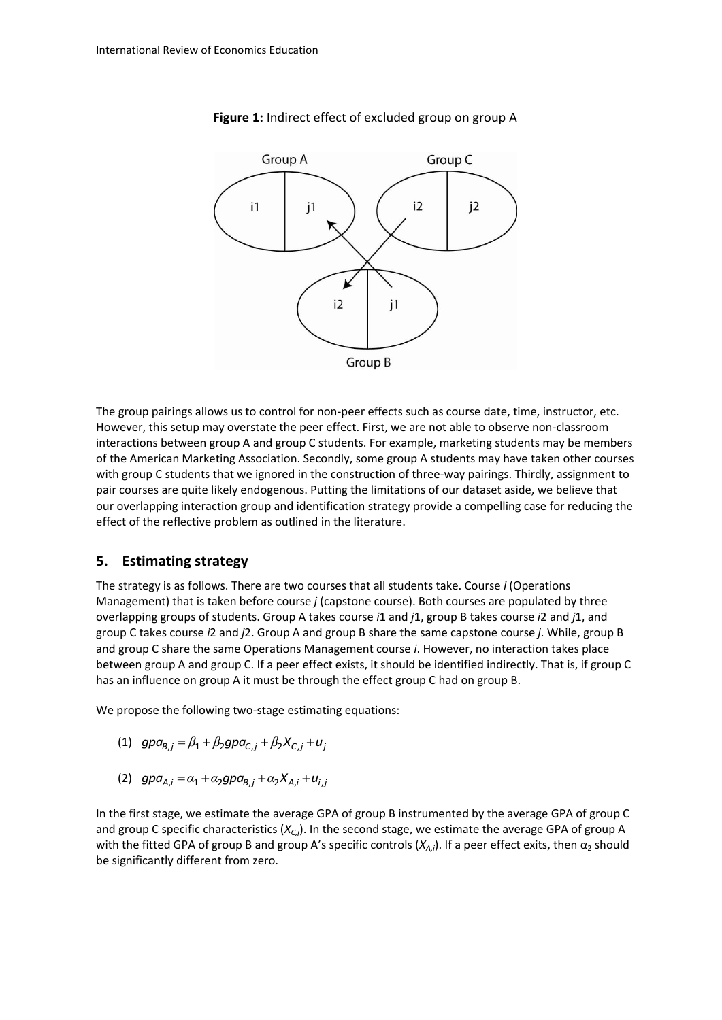

#### **Figure 1:** Indirect effect of excluded group on group A

The group pairings allows us to control for non-peer effects such as course date, time, instructor, etc. However, this setup may overstate the peer effect. First, we are not able to observe non-classroom interactions between group A and group C students. For example, marketing students may be members of the American Marketing Association. Secondly, some group A students may have taken other courses with group C students that we ignored in the construction of three-way pairings. Thirdly, assignment to pair courses are quite likely endogenous. Putting the limitations of our dataset aside, we believe that our overlapping interaction group and identification strategy provide a compelling case for reducing the effect of the reflective problem as outlined in the literature.

#### **5. Estimating strategy**

The strategy is as follows. There are two courses that all students take. Course *i* (Operations Management) that is taken before course *j* (capstone course). Both courses are populated by three overlapping groups of students. Group A takes course *i*1 and *j*1, group B takes course *i*2 and *j*1, and group C takes course *i*2 and *j*2. Group A and group B share the same capstone course *j*. While, group B and group C share the same Operations Management course *i*. However, no interaction takes place between group A and group C. If a peer effect exists, it should be identified indirectly. That is, if group C has an influence on group A it must be through the effect group C had on group B.

We propose the following two-stage estimating equations:

- (1)  $gpa_{B,j} = \beta_1 + \beta_2 gpa_{C,j} + \beta_2 X_{C,j} + u_j$
- (2)  $gpa_{A,i} = \alpha_1 + \alpha_2 gpa_{B,i} + \alpha_2 X_{A,i} + u_{i,j}$

In the first stage, we estimate the average GPA of group B instrumented by the average GPA of group C and group C specific characteristics (*XC,j*). In the second stage, we estimate the average GPA of group A with the fitted GPA of group B and group A's specific controls  $(X_{A,i})$ . If a peer effect exits, then  $\alpha_2$  should be significantly different from zero.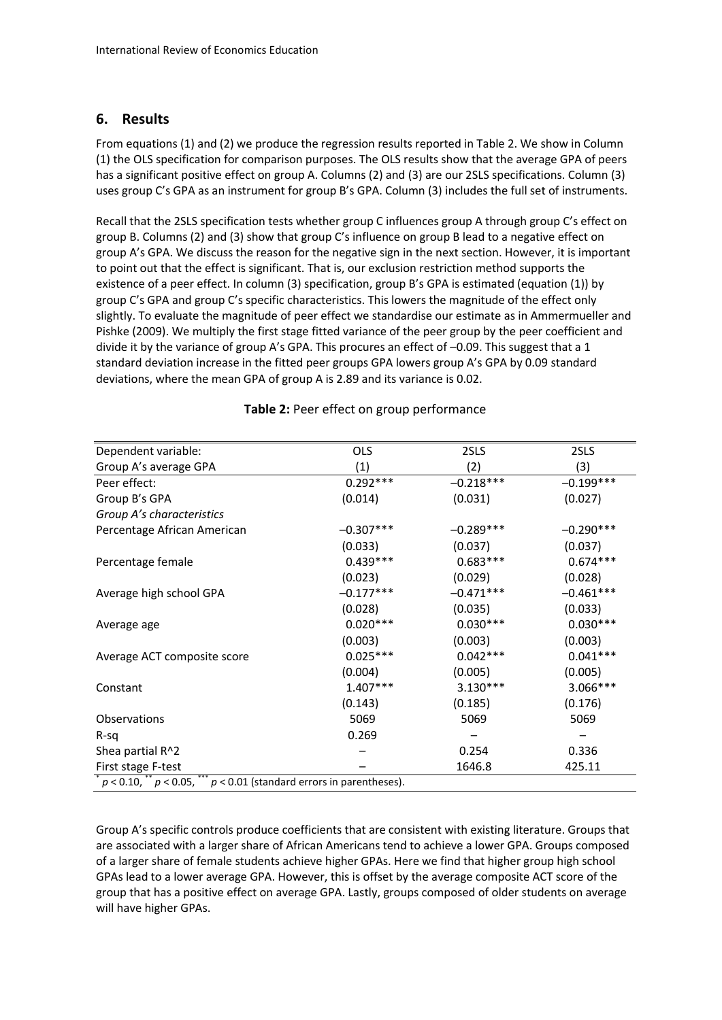# **6. Results**

From equations (1) and (2) we produce the regression results reported in Table 2. We show in Column (1) the OLS specification for comparison purposes. The OLS results show that the average GPA of peers has a significant positive effect on group A. Columns (2) and (3) are our 2SLS specifications. Column (3) uses group C's GPA as an instrument for group B's GPA. Column (3) includes the full set of instruments.

Recall that the 2SLS specification tests whether group C influences group A through group C's effect on group B. Columns (2) and (3) show that group C's influence on group B lead to a negative effect on group A's GPA. We discuss the reason for the negative sign in the next section. However, it is important to point out that the effect is significant. That is, our exclusion restriction method supports the existence of a peer effect. In column (3) specification, group B's GPA is estimated (equation (1)) by group C's GPA and group C's specific characteristics. This lowers the magnitude of the effect only slightly. To evaluate the magnitude of peer effect we standardise our estimate as in Ammermueller and Pishke (2009). We multiply the first stage fitted variance of the peer group by the peer coefficient and divide it by the variance of group A's GPA. This procures an effect of –0.09. This suggest that a 1 standard deviation increase in the fitted peer groups GPA lowers group A's GPA by 0.09 standard deviations, where the mean GPA of group A is 2.89 and its variance is 0.02.

| Dependent variable:                                                           | <b>OLS</b>  | 2SLS        | 2SLS        |  |
|-------------------------------------------------------------------------------|-------------|-------------|-------------|--|
| Group A's average GPA                                                         | (1)         | (2)         | (3)         |  |
| Peer effect:                                                                  | $0.292***$  | $-0.218***$ | $-0.199***$ |  |
| Group B's GPA                                                                 | (0.014)     | (0.031)     | (0.027)     |  |
| Group A's characteristics                                                     |             |             |             |  |
| Percentage African American                                                   | $-0.307***$ | $-0.289***$ | $-0.290***$ |  |
|                                                                               | (0.033)     | (0.037)     | (0.037)     |  |
| Percentage female                                                             | $0.439***$  | $0.683***$  | $0.674***$  |  |
|                                                                               | (0.023)     | (0.029)     | (0.028)     |  |
| Average high school GPA                                                       | $-0.177***$ | $-0.471***$ | $-0.461***$ |  |
|                                                                               | (0.028)     | (0.035)     | (0.033)     |  |
| Average age                                                                   | $0.020***$  | $0.030***$  | $0.030***$  |  |
|                                                                               | (0.003)     | (0.003)     | (0.003)     |  |
| Average ACT composite score                                                   | $0.025***$  | $0.042***$  | $0.041***$  |  |
|                                                                               | (0.004)     | (0.005)     | (0.005)     |  |
| Constant                                                                      | $1.407***$  | $3.130***$  | 3.066***    |  |
|                                                                               | (0.143)     | (0.185)     | (0.176)     |  |
| <b>Observations</b>                                                           | 5069        | 5069        | 5069        |  |
| $R-Sq$                                                                        | 0.269       |             |             |  |
| Shea partial R^2                                                              |             | 0.254       | 0.336       |  |
| First stage F-test                                                            |             | 1646.8      | 425.11      |  |
| $p < 0.10$ , ** $p < 0.05$ , *** $p < 0.01$ (standard errors in parentheses). |             |             |             |  |

### **Table 2:** Peer effect on group performance

Group A's specific controls produce coefficients that are consistent with existing literature. Groups that are associated with a larger share of African Americans tend to achieve a lower GPA. Groups composed of a larger share of female students achieve higher GPAs. Here we find that higher group high school GPAs lead to a lower average GPA. However, this is offset by the average composite ACT score of the group that has a positive effect on average GPA. Lastly, groups composed of older students on average will have higher GPAs.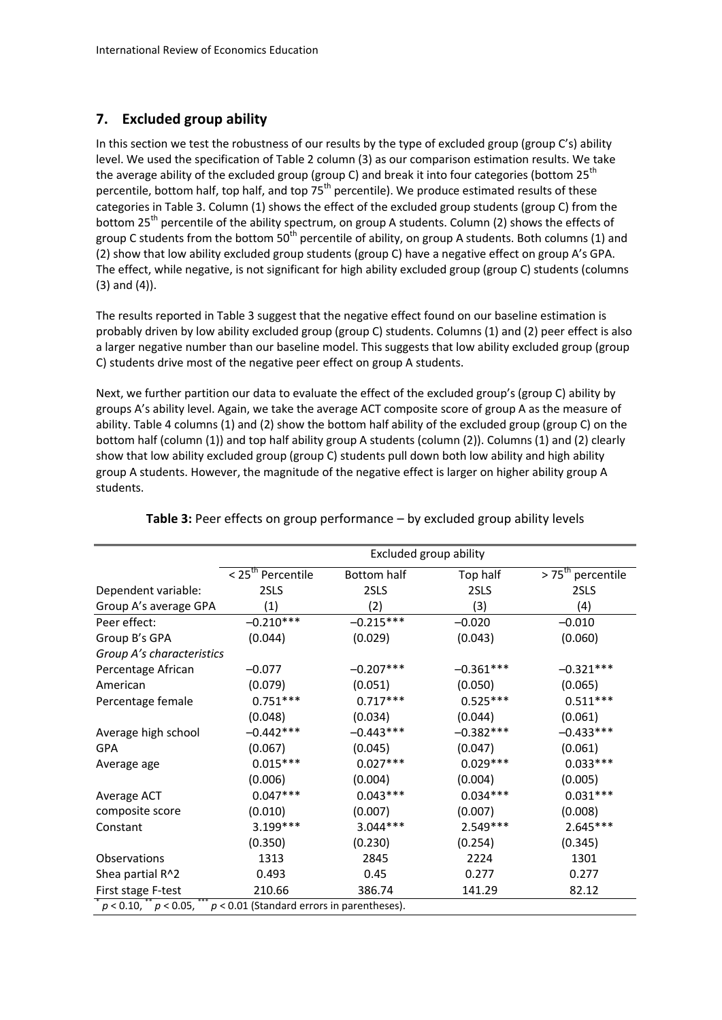# **7. Excluded group ability**

In this section we test the robustness of our results by the type of excluded group (group C's) ability level. We used the specification of Table 2 column (3) as our comparison estimation results. We take the average ability of the excluded group (group C) and break it into four categories (bottom  $25<sup>th</sup>$ percentile, bottom half, top half, and top 75<sup>th</sup> percentile). We produce estimated results of these categories in Table 3. Column (1) shows the effect of the excluded group students (group C) from the bottom 25<sup>th</sup> percentile of the ability spectrum, on group A students. Column (2) shows the effects of group C students from the bottom  $50<sup>th</sup>$  percentile of ability, on group A students. Both columns (1) and (2) show that low ability excluded group students (group C) have a negative effect on group A's GPA. The effect, while negative, is not significant for high ability excluded group (group C) students (columns (3) and (4)).

The results reported in Table 3 suggest that the negative effect found on our baseline estimation is probably driven by low ability excluded group (group C) students. Columns (1) and (2) peer effect is also a larger negative number than our baseline model. This suggests that low ability excluded group (group C) students drive most of the negative peer effect on group A students.

Next, we further partition our data to evaluate the effect of the excluded group's (group C) ability by groups A's ability level. Again, we take the average ACT composite score of group A as the measure of ability. Table 4 columns (1) and (2) show the bottom half ability of the excluded group (group C) on the bottom half (column (1)) and top half ability group A students (column (2)). Columns (1) and (2) clearly show that low ability excluded group (group C) students pull down both low ability and high ability group A students. However, the magnitude of the negative effect is larger on higher ability group A students.

|                                                                               | Excluded group ability        |             |             |                                           |
|-------------------------------------------------------------------------------|-------------------------------|-------------|-------------|-------------------------------------------|
|                                                                               | < 25 <sup>th</sup> Percentile | Bottom half | Top half    | $\overline{>75}$ <sup>th</sup> percentile |
| Dependent variable:                                                           | 2SLS                          | 2SLS        | 2SLS        | 2SLS                                      |
| Group A's average GPA                                                         | (1)                           | (2)         | (3)         | (4)                                       |
| Peer effect:                                                                  | $-0.210***$                   | $-0.215***$ | $-0.020$    | $-0.010$                                  |
| Group B's GPA                                                                 | (0.044)                       | (0.029)     | (0.043)     | (0.060)                                   |
| Group A's characteristics                                                     |                               |             |             |                                           |
| Percentage African                                                            | $-0.077$                      | $-0.207***$ | $-0.361***$ | $-0.321***$                               |
| American                                                                      | (0.079)                       | (0.051)     | (0.050)     | (0.065)                                   |
| Percentage female                                                             | $0.751***$                    | $0.717***$  | $0.525***$  | $0.511***$                                |
|                                                                               | (0.048)                       | (0.034)     | (0.044)     | (0.061)                                   |
| Average high school                                                           | $-0.442***$                   | $-0.443***$ | $-0.382***$ | $-0.433***$                               |
| <b>GPA</b>                                                                    | (0.067)                       | (0.045)     | (0.047)     | (0.061)                                   |
| Average age                                                                   | $0.015***$                    | $0.027***$  | $0.029***$  | $0.033***$                                |
|                                                                               | (0.006)                       | (0.004)     | (0.004)     | (0.005)                                   |
| Average ACT                                                                   | $0.047***$                    | $0.043***$  | $0.034***$  | $0.031***$                                |
| composite score                                                               | (0.010)                       | (0.007)     | (0.007)     | (0.008)                                   |
| Constant                                                                      | 3.199***                      | $3.044***$  | $2.549***$  | $2.645***$                                |
|                                                                               | (0.350)                       | (0.230)     | (0.254)     | (0.345)                                   |
| Observations                                                                  | 1313                          | 2845        | 2224        | 1301                                      |
| Shea partial R^2                                                              | 0.493                         | 0.45        | 0.277       | 0.277                                     |
| First stage F-test                                                            | 210.66                        | 386.74      | 141.29      | 82.12                                     |
| $p < 0.10$ , ** $p < 0.05$ , *** $p < 0.01$ (Standard errors in parentheses). |                               |             |             |                                           |

## **Table 3:** Peer effects on group performance – by excluded group ability levels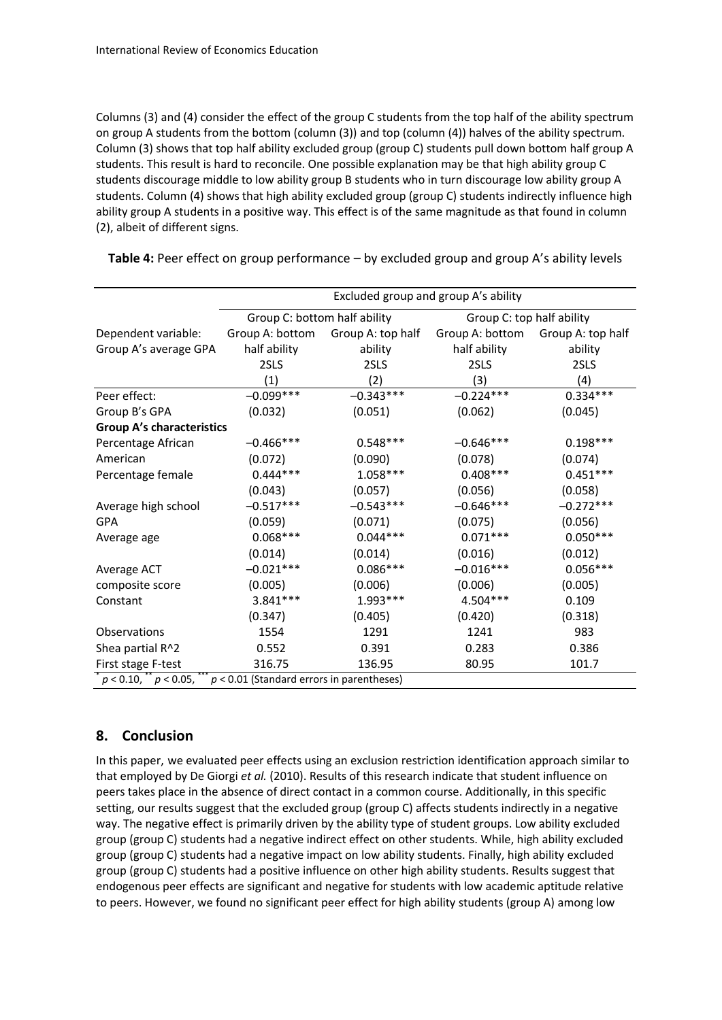Columns (3) and (4) consider the effect of the group C students from the top half of the ability spectrum on group A students from the bottom (column (3)) and top (column (4)) halves of the ability spectrum. Column (3) shows that top half ability excluded group (group C) students pull down bottom half group A students. This result is hard to reconcile. One possible explanation may be that high ability group C students discourage middle to low ability group B students who in turn discourage low ability group A students. Column (4) shows that high ability excluded group (group C) students indirectly influence high ability group A students in a positive way. This effect is of the same magnitude as that found in column (2), albeit of different signs.

|                                  | Excluded group and group A's ability        |                   |                           |                   |
|----------------------------------|---------------------------------------------|-------------------|---------------------------|-------------------|
|                                  | Group C: bottom half ability                |                   | Group C: top half ability |                   |
| Dependent variable:              | Group A: bottom                             | Group A: top half | Group A: bottom           | Group A: top half |
| Group A's average GPA            | half ability                                | ability           | half ability              | ability           |
|                                  | 2SLS                                        | 2SLS              | 2SLS                      | 2SLS              |
|                                  | (1)                                         | (2)               | (3)                       | (4)               |
| Peer effect:                     | $-0.099***$                                 | $-0.343***$       | $-0.224***$               | $0.334***$        |
| Group B's GPA                    | (0.032)                                     | (0.051)           | (0.062)                   | (0.045)           |
| <b>Group A's characteristics</b> |                                             |                   |                           |                   |
| Percentage African               | $-0.466***$                                 | $0.548***$        | $-0.646***$               | $0.198***$        |
| American                         | (0.072)                                     | (0.090)           | (0.078)                   | (0.074)           |
| Percentage female                | $0.444***$                                  | $1.058***$        | $0.408***$                | $0.451***$        |
|                                  | (0.043)                                     | (0.057)           | (0.056)                   | (0.058)           |
| Average high school              | $-0.517***$                                 | $-0.543***$       | $-0.646***$               | $-0.272***$       |
| <b>GPA</b>                       | (0.059)                                     | (0.071)           | (0.075)                   | (0.056)           |
| Average age                      | $0.068***$                                  | $0.044***$        | $0.071***$                | $0.050***$        |
|                                  | (0.014)                                     | (0.014)           | (0.016)                   | (0.012)           |
| Average ACT                      | $-0.021***$                                 | $0.086***$        | $-0.016***$               | $0.056***$        |
| composite score                  | (0.005)                                     | (0.006)           | (0.006)                   | (0.005)           |
| Constant                         | $3.841***$                                  | $1.993***$        | 4.504 ***                 | 0.109             |
|                                  | (0.347)                                     | (0.405)           | (0.420)                   | (0.318)           |
| Observations                     | 1554                                        | 1291              | 1241                      | 983               |
| Shea partial R^2                 | 0.552                                       | 0.391             | 0.283                     | 0.386             |
| First stage F-test               | 316.75                                      | 136.95            | 80.95                     | 101.7             |
| $p < 0.10,$ ** $p < 0.05,$ **    | $p < 0.01$ (Standard errors in parentheses) |                   |                           |                   |

**Table 4:** Peer effect on group performance – by excluded group and group A's ability levels

# **8. Conclusion**

In this paper, we evaluated peer effects using an exclusion restriction identification approach similar to that employed by De Giorgi *et al.* (2010). Results of this research indicate that student influence on peers takes place in the absence of direct contact in a common course. Additionally, in this specific setting, our results suggest that the excluded group (group C) affects students indirectly in a negative way. The negative effect is primarily driven by the ability type of student groups. Low ability excluded group (group C) students had a negative indirect effect on other students. While, high ability excluded group (group C) students had a negative impact on low ability students. Finally, high ability excluded group (group C) students had a positive influence on other high ability students. Results suggest that endogenous peer effects are significant and negative for students with low academic aptitude relative to peers. However, we found no significant peer effect for high ability students (group A) among low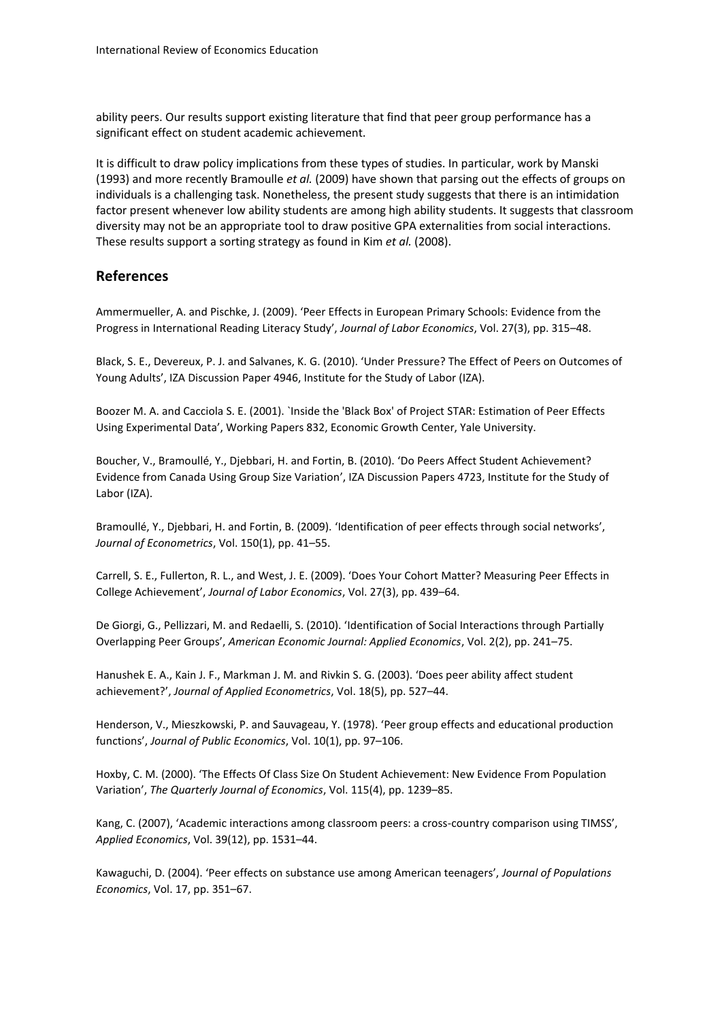ability peers. Our results support existing literature that find that peer group performance has a significant effect on student academic achievement.

It is difficult to draw policy implications from these types of studies. In particular, work by Manski (1993) and more recently Bramoulle *et al.* (2009) have shown that parsing out the effects of groups on individuals is a challenging task. Nonetheless, the present study suggests that there is an intimidation factor present whenever low ability students are among high ability students. It suggests that classroom diversity may not be an appropriate tool to draw positive GPA externalities from social interactions. These results support a sorting strategy as found in Kim *et al.* (2008).

# **References**

Ammermueller, A. and Pischke, J. (2009). 'Peer Effects in European Primary Schools: Evidence from the Progress in International Reading Literacy Study', *Journal of Labor Economics*, Vol. 27(3), pp. 315–48.

Black, S. E., Devereux, P. J. and Salvanes, K. G. (2010). 'Under Pressure? The Effect of Peers on Outcomes of Young Adults', IZA Discussion Paper 4946, Institute for the Study of Labor (IZA).

Boozer M. A. and Cacciola S. E. (2001). `Inside the 'Black Box' of Project STAR: Estimation of Peer Effects Using Experimental Data', Working Papers 832, Economic Growth Center, Yale University.

Boucher, V., Bramoullé, Y., Djebbari, H. and Fortin, B. (2010). 'Do Peers Affect Student Achievement? Evidence from Canada Using Group Size Variation', IZA Discussion Papers 4723, Institute for the Study of Labor (IZA).

Bramoullé, Y., Djebbari, H. and Fortin, B. (2009). 'Identification of peer effects through social networks', *Journal of Econometrics*, Vol. 150(1), pp. 41–55.

Carrell, S. E., Fullerton, R. L., and West, J. E. (2009). 'Does Your Cohort Matter? Measuring Peer Effects in College Achievement', *Journal of Labor Economics*, Vol. 27(3), pp. 439–64.

De Giorgi, G., Pellizzari, M. and Redaelli, S. (2010). 'Identification of Social Interactions through Partially Overlapping Peer Groups', *American Economic Journal: Applied Economics*, Vol. 2(2), pp. 241–75.

Hanushek E. A., Kain J. F., Markman J. M. and Rivkin S. G. (2003). 'Does peer ability affect student achievement?', *Journal of Applied Econometrics*, Vol. 18(5), pp. 527–44.

Henderson, V., Mieszkowski, P. and Sauvageau, Y. (1978). 'Peer group effects and educational production functions', *Journal of Public Economics*, Vol. 10(1), pp. 97–106.

Hoxby, C. M. (2000). 'The Effects Of Class Size On Student Achievement: New Evidence From Population Variation', *The Quarterly Journal of Economics*, Vol. 115(4), pp. 1239–85.

Kang, C. (2007), 'Academic interactions among classroom peers: a cross-country comparison using TIMSS', *Applied Economics*, Vol. 39(12), pp. 1531–44.

Kawaguchi, D. (2004). 'Peer effects on substance use among American teenagers', *Journal of Populations Economics*, Vol. 17, pp. 351–67.